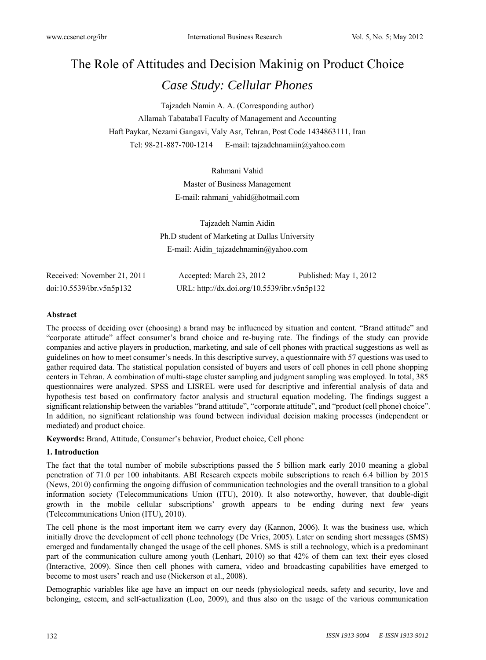# The Role of Attitudes and Decision Makinig on Product Choice *Case Study: Cellular Phones*

Tajzadeh Namin A. A. (Corresponding author) Allamah Tabataba'I Faculty of Management and Accounting Haft Paykar, Nezami Gangavi, Valy Asr, Tehran, Post Code 1434863111, Iran Tel: 98-21-887-700-1214 E-mail: tajzadehnamiin@yahoo.com

> Rahmani Vahid Master of Business Management E-mail: rahmani\_vahid@hotmail.com

Tajzadeh Namin Aidin Ph.D student of Marketing at Dallas University E-mail: Aidin\_tajzadehnamin@yahoo.com

| Received: November 21, 2011 | Accepted: March 23, 2012                    | Published: May 1, 2012 |
|-----------------------------|---------------------------------------------|------------------------|
| doi:10.5539/ibr.v5n5p132    | URL: http://dx.doi.org/10.5539/ibr.v5n5p132 |                        |

## **Abstract**

The process of deciding over (choosing) a brand may be influenced by situation and content. "Brand attitude" and "corporate attitude" affect consumer's brand choice and re-buying rate. The findings of the study can provide companies and active players in production, marketing, and sale of cell phones with practical suggestions as well as guidelines on how to meet consumer's needs. In this descriptive survey, a questionnaire with 57 questions was used to gather required data. The statistical population consisted of buyers and users of cell phones in cell phone shopping centers in Tehran. A combination of multi-stage cluster sampling and judgment sampling was employed. In total, 385 questionnaires were analyzed. SPSS and LISREL were used for descriptive and inferential analysis of data and hypothesis test based on confirmatory factor analysis and structural equation modeling. The findings suggest a significant relationship between the variables "brand attitude", "corporate attitude", and "product (cell phone) choice". In addition, no significant relationship was found between individual decision making processes (independent or mediated) and product choice.

**Keywords:** Brand, Attitude, Consumer's behavior, Product choice, Cell phone

## **1. Introduction**

The fact that the total number of mobile subscriptions passed the 5 billion mark early 2010 meaning a global penetration of 71.0 per 100 inhabitants. ABI Research expects mobile subscriptions to reach 6.4 billion by 2015 (News, 2010) confirming the ongoing diffusion of communication technologies and the overall transition to a global information society (Telecommunications Union (ITU), 2010). It also noteworthy, however, that double-digit growth in the mobile cellular subscriptions' growth appears to be ending during next few years (Telecommunications Union (ITU), 2010).

The cell phone is the most important item we carry every day (Kannon, 2006). It was the business use, which initially drove the development of cell phone technology (De Vries, 2005). Later on sending short messages (SMS) emerged and fundamentally changed the usage of the cell phones. SMS is still a technology, which is a predominant part of the communication culture among youth (Lenhart, 2010) so that 42% of them can text their eyes closed (Interactive, 2009). Since then cell phones with camera, video and broadcasting capabilities have emerged to become to most users' reach and use (Nickerson et al., 2008).

Demographic variables like age have an impact on our needs (physiological needs, safety and security, love and belonging, esteem, and self-actualization (Loo, 2009), and thus also on the usage of the various communication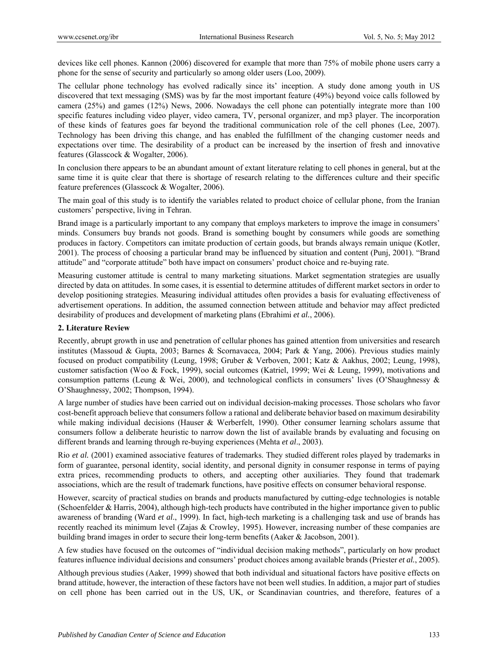devices like cell phones. Kannon (2006) discovered for example that more than 75% of mobile phone users carry a phone for the sense of security and particularly so among older users (Loo, 2009).

The cellular phone technology has evolved radically since its' inception. A study done among youth in US discovered that text messaging (SMS) was by far the most important feature (49%) beyond voice calls followed by camera (25%) and games (12%) News, 2006. Nowadays the cell phone can potentially integrate more than 100 specific features including video player, video camera, TV, personal organizer, and mp3 player. The incorporation of these kinds of features goes far beyond the traditional communication role of the cell phones (Lee, 2007). Technology has been driving this change, and has enabled the fulfillment of the changing customer needs and expectations over time. The desirability of a product can be increased by the insertion of fresh and innovative features (Glasscock & Wogalter, 2006).

In conclusion there appears to be an abundant amount of extant literature relating to cell phones in general, but at the same time it is quite clear that there is shortage of research relating to the differences culture and their specific feature preferences (Glasscock & Wogalter, 2006).

The main goal of this study is to identify the variables related to product choice of cellular phone, from the Iranian customers' perspective, living in Tehran.

Brand image is a particularly important to any company that employs marketers to improve the image in consumers' minds. Consumers buy brands not goods. Brand is something bought by consumers while goods are something produces in factory. Competitors can imitate production of certain goods, but brands always remain unique (Kotler, 2001). The process of choosing a particular brand may be influenced by situation and content (Punj, 2001). "Brand attitude" and "corporate attitude" both have impact on consumers' product choice and re-buying rate.

Measuring customer attitude is central to many marketing situations. Market segmentation strategies are usually directed by data on attitudes. In some cases, it is essential to determine attitudes of different market sectors in order to develop positioning strategies. Measuring individual attitudes often provides a basis for evaluating effectiveness of advertisement operations. In addition, the assumed connection between attitude and behavior may affect predicted desirability of produces and development of marketing plans (Ebrahimi *et al.*, 2006).

## **2. Literature Review**

Recently, abrupt growth in use and penetration of cellular phones has gained attention from universities and research institutes (Massoud & Gupta, 2003; Barnes & Scornavacca, 2004; Park & Yang, 2006). Previous studies mainly focused on product compatibility (Leung, 1998; Gruber & Verboven, 2001; Katz & Aakhus, 2002; Leung, 1998), customer satisfaction (Woo & Fock, 1999), social outcomes (Katriel, 1999; Wei & Leung, 1999), motivations and consumption patterns (Leung & Wei, 2000), and technological conflicts in consumers' lives (O'Shaughnessy & O'Shaughnessy, 2002; Thompson, 1994).

A large number of studies have been carried out on individual decision-making processes. Those scholars who favor cost-benefit approach believe that consumers follow a rational and deliberate behavior based on maximum desirability while making individual decisions (Hauser & Werberfelt, 1990). Other consumer learning scholars assume that consumers follow a deliberate heuristic to narrow down the list of available brands by evaluating and focusing on different brands and learning through re-buying experiences (Mehta *et al*., 2003).

Rio *et al.* (2001) examined associative features of trademarks. They studied different roles played by trademarks in form of guarantee, personal identity, social identity, and personal dignity in consumer response in terms of paying extra prices, recommending products to others, and accepting other auxiliaries. They found that trademark associations, which are the result of trademark functions, have positive effects on consumer behavioral response.

However, scarcity of practical studies on brands and products manufactured by cutting-edge technologies is notable (Schoenfelder & Harris, 2004), although high-tech products have contributed in the higher importance given to public awareness of branding (Ward *et al*., 1999). In fact, high-tech marketing is a challenging task and use of brands has recently reached its minimum level (Zajas & Crowley, 1995). However, increasing number of these companies are building brand images in order to secure their long-term benefits (Aaker & Jacobson, 2001).

A few studies have focused on the outcomes of "individual decision making methods", particularly on how product features influence individual decisions and consumers' product choices among available brands (Priester *et al.*, 2005).

Although previous studies (Aaker, 1999) showed that both individual and situational factors have positive effects on brand attitude, however, the interaction of these factors have not been well studies. In addition, a major part of studies on cell phone has been carried out in the US, UK, or Scandinavian countries, and therefore, features of a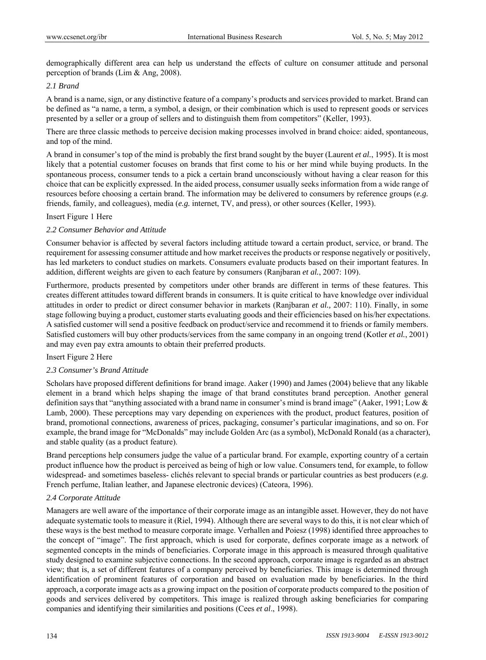demographically different area can help us understand the effects of culture on consumer attitude and personal perception of brands (Lim & Ang, 2008).

## *2.1 Brand*

A brand is a name, sign, or any distinctive feature of a company's products and services provided to market. Brand can be defined as "a name, a term, a symbol, a design, or their combination which is used to represent goods or services presented by a seller or a group of sellers and to distinguish them from competitors" (Keller, 1993).

There are three classic methods to perceive decision making processes involved in brand choice: aided, spontaneous, and top of the mind.

A brand in consumer's top of the mind is probably the first brand sought by the buyer (Laurent *et al.*, 1995). It is most likely that a potential customer focuses on brands that first come to his or her mind while buying products. In the spontaneous process, consumer tends to a pick a certain brand unconsciously without having a clear reason for this choice that can be explicitly expressed. In the aided process, consumer usually seeks information from a wide range of resources before choosing a certain brand. The information may be delivered to consumers by reference groups (*e.g.* friends, family, and colleagues), media (*e.g.* internet, TV, and press), or other sources (Keller, 1993).

#### Insert Figure 1 Here

#### *2.2 Consumer Behavior and Attitude*

Consumer behavior is affected by several factors including attitude toward a certain product, service, or brand. The requirement for assessing consumer attitude and how market receives the products or response negatively or positively, has led marketers to conduct studies on markets. Consumers evaluate products based on their important features. In addition, different weights are given to each feature by consumers (Ranjbaran *et al.*, 2007: 109).

Furthermore, products presented by competitors under other brands are different in terms of these features. This creates different attitudes toward different brands in consumers. It is quite critical to have knowledge over individual attitudes in order to predict or direct consumer behavior in markets (Ranjbaran *et al.,* 2007: 110). Finally, in some stage following buying a product, customer starts evaluating goods and their efficiencies based on his/her expectations. A satisfied customer will send a positive feedback on product/service and recommend it to friends or family members. Satisfied customers will buy other products/services from the same company in an ongoing trend (Kotler *et al.*, 2001) and may even pay extra amounts to obtain their preferred products.

#### Insert Figure 2 Here

## *2.3 Consumer's Brand Attitude*

Scholars have proposed different definitions for brand image. Aaker (1990) and James (2004) believe that any likable element in a brand which helps shaping the image of that brand constitutes brand perception. Another general definition says that "anything associated with a brand name in consumer's mind is brand image" (Aaker, 1991; Low & Lamb, 2000). These perceptions may vary depending on experiences with the product, product features, position of brand, promotional connections, awareness of prices, packaging, consumer's particular imaginations, and so on. For example, the brand image for "McDonalds" may include Golden Arc (as a symbol), McDonald Ronald (as a character), and stable quality (as a product feature).

Brand perceptions help consumers judge the value of a particular brand. For example, exporting country of a certain product influence how the product is perceived as being of high or low value. Consumers tend, for example, to follow widespread- and sometimes baseless- clichés relevant to special brands or particular countries as best producers (*e.g.* French perfume, Italian leather, and Japanese electronic devices) (Cateora, 1996).

#### *2.4 Corporate Attitude*

Managers are well aware of the importance of their corporate image as an intangible asset. However, they do not have adequate systematic tools to measure it (Riel, 1994). Although there are several ways to do this, it is not clear which of these ways is the best method to measure corporate image. Verhallen and Poiesz (1998) identified three approaches to the concept of "image". The first approach, which is used for corporate, defines corporate image as a network of segmented concepts in the minds of beneficiaries. Corporate image in this approach is measured through qualitative study designed to examine subjective connections. In the second approach, corporate image is regarded as an abstract view; that is, a set of different features of a company perceived by beneficiaries. This image is determined through identification of prominent features of corporation and based on evaluation made by beneficiaries. In the third approach, a corporate image acts as a growing impact on the position of corporate products compared to the position of goods and services delivered by competitors. This image is realized through asking beneficiaries for comparing companies and identifying their similarities and positions (Cees *et al*., 1998).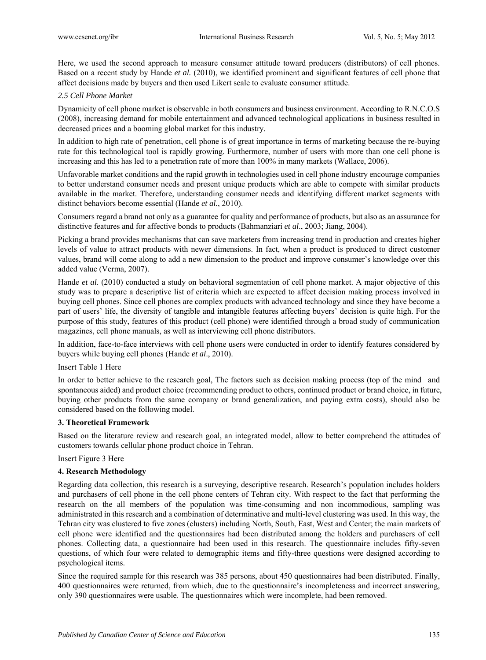Here, we used the second approach to measure consumer attitude toward producers (distributors) of cell phones. Based on a recent study by Hande *et al.* (2010), we identified prominent and significant features of cell phone that affect decisions made by buyers and then used Likert scale to evaluate consumer attitude.

## *2.5 Cell Phone Market*

Dynamicity of cell phone market is observable in both consumers and business environment. According to R.N.C.O.S (2008), increasing demand for mobile entertainment and advanced technological applications in business resulted in decreased prices and a booming global market for this industry.

In addition to high rate of penetration, cell phone is of great importance in terms of marketing because the re-buying rate for this technological tool is rapidly growing. Furthermore, number of users with more than one cell phone is increasing and this has led to a penetration rate of more than 100% in many markets (Wallace, 2006).

Unfavorable market conditions and the rapid growth in technologies used in cell phone industry encourage companies to better understand consumer needs and present unique products which are able to compete with similar products available in the market. Therefore, understanding consumer needs and identifying different market segments with distinct behaviors become essential (Hande *et al.*, 2010).

Consumers regard a brand not only as a guarantee for quality and performance of products, but also as an assurance for distinctive features and for affective bonds to products (Bahmanziari *et al*., 2003; Jiang, 2004).

Picking a brand provides mechanisms that can save marketers from increasing trend in production and creates higher levels of value to attract products with newer dimensions. In fact, when a product is produced to direct customer values, brand will come along to add a new dimension to the product and improve consumer's knowledge over this added value (Verma, 2007).

Hande *et al*. (2010) conducted a study on behavioral segmentation of cell phone market. A major objective of this study was to prepare a descriptive list of criteria which are expected to affect decision making process involved in buying cell phones. Since cell phones are complex products with advanced technology and since they have become a part of users' life, the diversity of tangible and intangible features affecting buyers' decision is quite high. For the purpose of this study, features of this product (cell phone) were identified through a broad study of communication magazines, cell phone manuals, as well as interviewing cell phone distributors.

In addition, face-to-face interviews with cell phone users were conducted in order to identify features considered by buyers while buying cell phones (Hande *et al*., 2010).

Insert Table 1 Here

In order to better achieve to the research goal, The factors such as decision making process (top of the mind and spontaneous aided) and product choice (recommending product to others, continued product or brand choice, in future, buying other products from the same company or brand generalization, and paying extra costs), should also be considered based on the following model.

## **3. Theoretical Framework**

Based on the literature review and research goal, an integrated model, allow to better comprehend the attitudes of customers towards cellular phone product choice in Tehran.

Insert Figure 3 Here

## **4. Research Methodology**

Regarding data collection, this research is a surveying, descriptive research. Research's population includes holders and purchasers of cell phone in the cell phone centers of Tehran city. With respect to the fact that performing the research on the all members of the population was time-consuming and non incommodious, sampling was administrated in this research and a combination of determinative and multi-level clustering was used. In this way, the Tehran city was clustered to five zones (clusters) including North, South, East, West and Center; the main markets of cell phone were identified and the questionnaires had been distributed among the holders and purchasers of cell phones. Collecting data, a questionnaire had been used in this research. The questionnaire includes fifty-seven questions, of which four were related to demographic items and fifty-three questions were designed according to psychological items.

Since the required sample for this research was 385 persons, about 450 questionnaires had been distributed. Finally, 400 questionnaires were returned, from which, due to the questionnaire's incompleteness and incorrect answering, only 390 questionnaires were usable. The questionnaires which were incomplete, had been removed.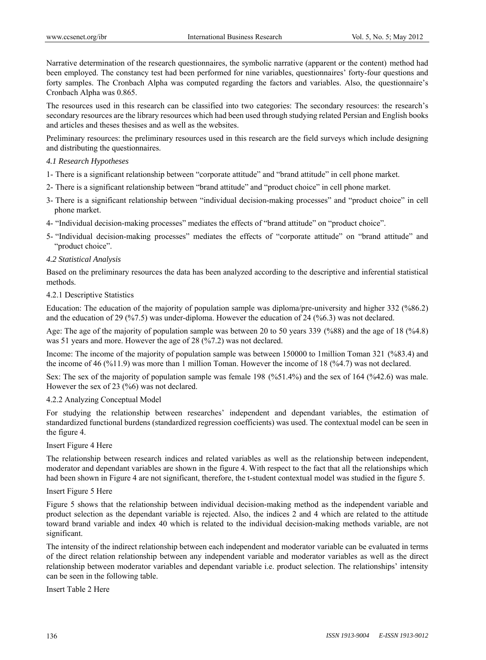Narrative determination of the research questionnaires, the symbolic narrative (apparent or the content) method had been employed. The constancy test had been performed for nine variables, questionnaires' forty-four questions and forty samples. The Cronbach Alpha was computed regarding the factors and variables. Also, the questionnaire's Cronbach Alpha was 0.865.

The resources used in this research can be classified into two categories: The secondary resources: the research's secondary resources are the library resources which had been used through studying related Persian and English books and articles and theses thesises and as well as the websites.

Preliminary resources: the preliminary resources used in this research are the field surveys which include designing and distributing the questionnaires.

## *4.1 Research Hypotheses*

- 1- There is a significant relationship between "corporate attitude" and "brand attitude" in cell phone market.
- 2- There is a significant relationship between "brand attitude" and "product choice" in cell phone market.
- 3- There is a significant relationship between "individual decision-making processes" and "product choice" in cell phone market.
- 4- "Individual decision-making processes" mediates the effects of "brand attitude" on "product choice".
- 5- "Individual decision-making processes" mediates the effects of "corporate attitude" on "brand attitude" and "product choice".

#### *4.2 Statistical Analysis*

Based on the preliminary resources the data has been analyzed according to the descriptive and inferential statistical methods.

#### 4.2.1 Descriptive Statistics

Education: The education of the majority of population sample was diploma/pre-university and higher 332 (%86.2) and the education of 29 (%7.5) was under-diploma. However the education of 24 (%6.3) was not declared.

Age: The age of the majority of population sample was between 20 to 50 years 339 (%88) and the age of 18 (%4.8) was 51 years and more. However the age of 28 (%7.2) was not declared.

Income: The income of the majority of population sample was between 150000 to 1million Toman 321 (%83.4) and the income of 46 (%11.9) was more than 1 million Toman. However the income of 18 (%4.7) was not declared.

Sex: The sex of the majority of population sample was female 198 (%51.4%) and the sex of 164 (%42.6) was male. However the sex of 23 (%6) was not declared.

#### 4.2.2 Analyzing Conceptual Model

For studying the relationship between researches' independent and dependant variables, the estimation of standardized functional burdens (standardized regression coefficients) was used. The contextual model can be seen in the figure 4.

#### Insert Figure 4 Here

The relationship between research indices and related variables as well as the relationship between independent, moderator and dependant variables are shown in the figure 4. With respect to the fact that all the relationships which had been shown in Figure 4 are not significant, therefore, the t-student contextual model was studied in the figure 5.

#### Insert Figure 5 Here

Figure 5 shows that the relationship between individual decision-making method as the independent variable and product selection as the dependant variable is rejected. Also, the indices 2 and 4 which are related to the attitude toward brand variable and index 40 which is related to the individual decision-making methods variable, are not significant.

The intensity of the indirect relationship between each independent and moderator variable can be evaluated in terms of the direct relation relationship between any independent variable and moderator variables as well as the direct relationship between moderator variables and dependant variable i.e. product selection. The relationships' intensity can be seen in the following table.

Insert Table 2 Here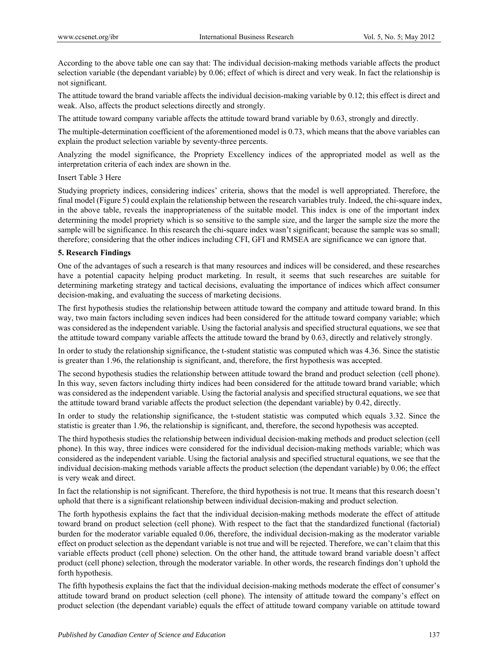According to the above table one can say that: The individual decision-making methods variable affects the product selection variable (the dependant variable) by 0.06; effect of which is direct and very weak. In fact the relationship is not significant.

The attitude toward the brand variable affects the individual decision-making variable by 0.12; this effect is direct and weak. Also, affects the product selections directly and strongly.

The attitude toward company variable affects the attitude toward brand variable by 0.63, strongly and directly.

The multiple-determination coefficient of the aforementioned model is 0.73, which means that the above variables can explain the product selection variable by seventy-three percents.

Analyzing the model significance, the Propriety Excellency indices of the appropriated model as well as the interpretation criteria of each index are shown in the.

#### Insert Table 3 Here

Studying propriety indices, considering indices' criteria, shows that the model is well appropriated. Therefore, the final model (Figure 5) could explain the relationship between the research variables truly. Indeed, the chi-square index, in the above table, reveals the inappropriateness of the suitable model. This index is one of the important index determining the model propriety which is so sensitive to the sample size, and the larger the sample size the more the sample will be significance. In this research the chi-square index wasn't significant; because the sample was so small; therefore; considering that the other indices including CFI, GFI and RMSEA are significance we can ignore that.

## **5. Research Findings**

One of the advantages of such a research is that many resources and indices will be considered, and these researches have a potential capacity helping product marketing. In result, it seems that such researches are suitable for determining marketing strategy and tactical decisions, evaluating the importance of indices which affect consumer decision-making, and evaluating the success of marketing decisions.

The first hypothesis studies the relationship between attitude toward the company and attitude toward brand. In this way, two main factors including seven indices had been considered for the attitude toward company variable; which was considered as the independent variable. Using the factorial analysis and specified structural equations, we see that the attitude toward company variable affects the attitude toward the brand by 0.63, directly and relatively strongly.

In order to study the relationship significance, the t-student statistic was computed which was 4.36. Since the statistic is greater than 1.96, the relationship is significant, and, therefore, the first hypothesis was accepted.

The second hypothesis studies the relationship between attitude toward the brand and product selection (cell phone). In this way, seven factors including thirty indices had been considered for the attitude toward brand variable; which was considered as the independent variable. Using the factorial analysis and specified structural equations, we see that the attitude toward brand variable affects the product selection (the dependant variable) by 0.42, directly.

In order to study the relationship significance, the t-student statistic was computed which equals 3.32. Since the statistic is greater than 1.96, the relationship is significant, and, therefore, the second hypothesis was accepted.

The third hypothesis studies the relationship between individual decision-making methods and product selection (cell phone). In this way, three indices were considered for the individual decision-making methods variable; which was considered as the independent variable. Using the factorial analysis and specified structural equations, we see that the individual decision-making methods variable affects the product selection (the dependant variable) by 0.06; the effect is very weak and direct.

In fact the relationship is not significant. Therefore, the third hypothesis is not true. It means that this research doesn't uphold that there is a significant relationship between individual decision-making and product selection.

The forth hypothesis explains the fact that the individual decision-making methods moderate the effect of attitude toward brand on product selection (cell phone). With respect to the fact that the standardized functional (factorial) burden for the moderator variable equaled 0.06, therefore, the individual decision-making as the moderator variable effect on product selection as the dependant variable is not true and will be rejected. Therefore, we can't claim that this variable effects product (cell phone) selection. On the other hand, the attitude toward brand variable doesn't affect product (cell phone) selection, through the moderator variable. In other words, the research findings don't uphold the forth hypothesis.

The fifth hypothesis explains the fact that the individual decision-making methods moderate the effect of consumer's attitude toward brand on product selection (cell phone). The intensity of attitude toward the company's effect on product selection (the dependant variable) equals the effect of attitude toward company variable on attitude toward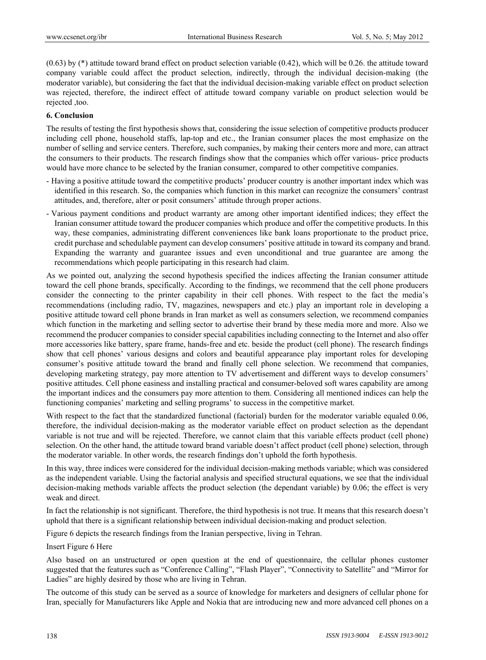(0.63) by (\*) attitude toward brand effect on product selection variable (0.42), which will be 0.26. the attitude toward company variable could affect the product selection, indirectly, through the individual decision-making (the moderator variable), but considering the fact that the individual decision-making variable effect on product selection was rejected, therefore, the indirect effect of attitude toward company variable on product selection would be rejected ,too.

#### **6. Conclusion**

The results of testing the first hypothesis shows that, considering the issue selection of competitive products producer including cell phone, household staffs, lap-top and etc., the Iranian consumer places the most emphasize on the number of selling and service centers. Therefore, such companies, by making their centers more and more, can attract the consumers to their products. The research findings show that the companies which offer various- price products would have more chance to be selected by the Iranian consumer, compared to other competitive companies.

- Having a positive attitude toward the competitive products' producer country is another important index which was identified in this research. So, the companies which function in this market can recognize the consumers' contrast attitudes, and, therefore, alter or posit consumers' attitude through proper actions.
- Various payment conditions and product warranty are among other important identified indices; they effect the Iranian consumer attitude toward the producer companies which produce and offer the competitive products. In this way, these companies, administrating different conveniences like bank loans proportionate to the product price, credit purchase and schedulable payment can develop consumers' positive attitude in toward its company and brand. Expanding the warranty and guarantee issues and even unconditional and true guarantee are among the recommendations which people participating in this research had claim.

As we pointed out, analyzing the second hypothesis specified the indices affecting the Iranian consumer attitude toward the cell phone brands, specifically. According to the findings, we recommend that the cell phone producers consider the connecting to the printer capability in their cell phones. With respect to the fact the media's recommendations (including radio, TV, magazines, newspapers and etc.) play an important role in developing a positive attitude toward cell phone brands in Iran market as well as consumers selection, we recommend companies which function in the marketing and selling sector to advertise their brand by these media more and more. Also we recommend the producer companies to consider special capabilities including connecting to the Internet and also offer more accessories like battery, spare frame, hands-free and etc. beside the product (cell phone). The research findings show that cell phones' various designs and colors and beautiful appearance play important roles for developing consumer's positive attitude toward the brand and finally cell phone selection. We recommend that companies, developing marketing strategy, pay more attention to TV advertisement and different ways to develop consumers' positive attitudes. Cell phone easiness and installing practical and consumer-beloved soft wares capability are among the important indices and the consumers pay more attention to them. Considering all mentioned indices can help the functioning companies' marketing and selling programs' to success in the competitive market.

With respect to the fact that the standardized functional (factorial) burden for the moderator variable equaled 0.06, therefore, the individual decision-making as the moderator variable effect on product selection as the dependant variable is not true and will be rejected. Therefore, we cannot claim that this variable effects product (cell phone) selection. On the other hand, the attitude toward brand variable doesn't affect product (cell phone) selection, through the moderator variable. In other words, the research findings don't uphold the forth hypothesis.

In this way, three indices were considered for the individual decision-making methods variable; which was considered as the independent variable. Using the factorial analysis and specified structural equations, we see that the individual decision-making methods variable affects the product selection (the dependant variable) by 0.06; the effect is very weak and direct.

In fact the relationship is not significant. Therefore, the third hypothesis is not true. It means that this research doesn't uphold that there is a significant relationship between individual decision-making and product selection.

Figure 6 depicts the research findings from the Iranian perspective, living in Tehran.

#### Insert Figure 6 Here

Also based on an unstructured or open question at the end of questionnaire, the cellular phones customer suggested that the features such as "Conference Calling", "Flash Player", "Connectivity to Satellite" and "Mirror for Ladies" are highly desired by those who are living in Tehran.

The outcome of this study can be served as a source of knowledge for marketers and designers of cellular phone for Iran, specially for Manufacturers like Apple and Nokia that are introducing new and more advanced cell phones on a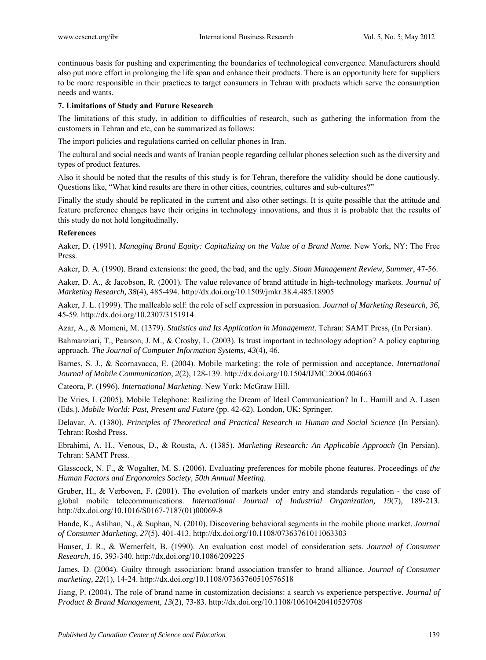continuous basis for pushing and experimenting the boundaries of technological convergence. Manufacturers should also put more effort in prolonging the life span and enhance their products. There is an opportunity here for suppliers to be more responsible in their practices to target consumers in Tehran with products which serve the consumption needs and wants.

## **7. Limitations of Study and Future Research**

The limitations of this study, in addition to difficulties of research, such as gathering the information from the customers in Tehran and etc, can be summarized as follows:

The import policies and regulations carried on cellular phones in Iran.

The cultural and social needs and wants of Iranian people regarding cellular phones selection such as the diversity and types of product features.

Also it should be noted that the results of this study is for Tehran, therefore the validity should be done cautiously. Questions like, "What kind results are there in other cities, countries, cultures and sub-cultures?"

Finally the study should be replicated in the current and also other settings. It is quite possible that the attitude and feature preference changes have their origins in technology innovations, and thus it is probable that the results of this study do not hold longitudinally.

## **References**

Aaker, D. (1991). *Managing Brand Equity: Capitalizing on the Value of a Brand Name*. New York, NY: The Free Press.

Aaker, D. A. (1990). Brand extensions: the good, the bad, and the ugly. *Sloan Management Review, Summer*, 47-56.

Aaker, D. A., & Jacobson, R. (2001). The value relevance of brand attitude in high-technology markets. *Journal of Marketing Research, 38*(4), 485-494. http://dx.doi.org/10.1509/jmkr.38.4.485.18905

Aaker, J. L. (1999). The malleable self: the role of self expression in persuasion. *Journal of Marketing Research, 36*, 45-59. http://dx.doi.org/10.2307/3151914

Azar, A., & Momeni, M. (1379). *Statistics and Its Application in Management*. Tehran: SAMT Press, (In Persian).

Bahmanziari, T., Pearson, J. M., & Crosby, L. (2003). Is trust important in technology adoption? A policy capturing approach. *The Journal of Computer Information Systems, 43*(4), 46.

Barnes, S. J., & Scornavacca, E. (2004). Mobile marketing: the role of permission and acceptance. *International Journal of Mobile Communication, 2*(2), 128-139. http://dx.doi.org/10.1504/IJMC.2004.004663

Cateora, P. (1996). *International Marketing*. New York: McGraw Hill.

De Vries, I. (2005). Mobile Telephone: Realizing the Dream of Ideal Communication? In L. Hamill and A. Lasen (Eds.), *Mobile World: Past, Present and Future* (pp. 42-62). London, UK: Springer.

Delavar, A. (1380). *Principles of Theoretical and Practical Research in Human and Social Science* (In Persian). Tehran: Roshd Press.

Ebrahimi, A. H., Venous, D., & Rousta, A. (1385). *Marketing Research: An Applicable Approach* (In Persian). Tehran: SAMT Press.

Glasscock, N. F., & Wogalter, M. S. (2006). Evaluating preferences for mobile phone features. Proceedings of *the Human Factors and Ergonomics Society, 50th Annual Meeting*.

Gruber, H., & Verboven, F. (2001). The evolution of markets under entry and standards regulation - the case of global mobile telecommunications. *International Journal of Industrial Organization, 19*(7), 189-213. http://dx.doi.org/10.1016/S0167-7187(01)00069-8

Hande, K., Aslihan, N., & Suphan, N. (2010). Discovering behavioral segments in the mobile phone market. *Journal of Consumer Marketing, 27*(5), 401-413. http://dx.doi.org/10.1108/07363761011063303

Hauser, J. R., & Wernerfelt, B. (1990). An evaluation cost model of consideration sets. *Journal of Consumer Research, 16*, 393-340. http://dx.doi.org/10.1086/209225

James, D. (2004). Guilty through association: brand association transfer to brand alliance. *Journal of Consumer marketing, 22*(1), 14-24. http://dx.doi.org/10.1108/07363760510576518

Jiang, P. (2004). The role of brand name in customization decisions: a search vs experience perspective. *Journal of Product & Brand Management, 13*(2), 73-83. http://dx.doi.org/10.1108/10610420410529708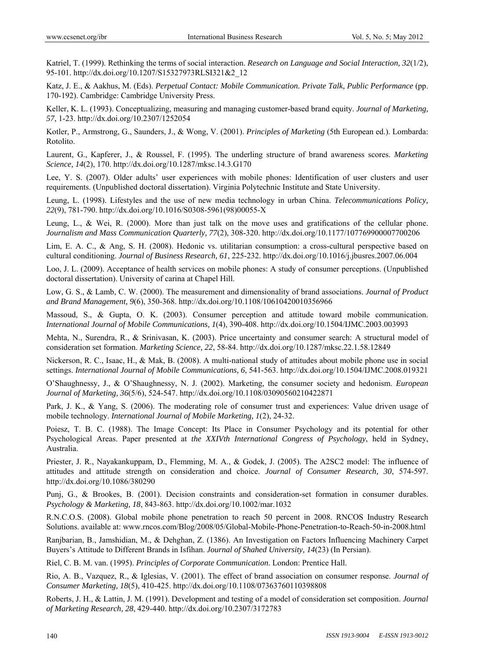Katriel, T. (1999). Rethinking the terms of social interaction. *Research on Language and Social Interaction, 32*(1/2), 95-101. http://dx.doi.org/10.1207/S15327973RLSI321&2\_12

Katz, J. E., & Aakhus, M. (Eds). *Perpetual Contact: Mobile Communication. Private Talk, Public Performance* (pp. 170-192). Cambridge: Cambridge University Press.

Keller, K. L. (1993). Conceptualizing, measuring and managing customer-based brand equity. *Journal of Marketing, 57*, 1-23. http://dx.doi.org/10.2307/1252054

Kotler, P., Armstrong, G., Saunders, J., & Wong, V. (2001). *Principles of Marketing* (5th European ed.). Lombarda: Rotolito.

Laurent, G., Kapferer, J., & Roussel, F. (1995). The underling structure of brand awareness scores. *Marketing Science, 14*(2), 170. http://dx.doi.org/10.1287/mksc.14.3.G170

Lee, Y. S. (2007). Older adults' user experiences with mobile phones: Identification of user clusters and user requirements. (Unpublished doctoral dissertation). Virginia Polytechnic Institute and State University.

Leung, L. (1998). Lifestyles and the use of new media technology in urban China. *Telecommunications Policy, 22*(9), 781-790. http://dx.doi.org/10.1016/S0308-5961(98)00055-X

Leung, L., & Wei, R. (2000). More than just talk on the move uses and gratifications of the cellular phone. *Journalism and Mass Communication Quarterly, 77*(2), 308-320. http://dx.doi.org/10.1177/107769900007700206

Lim, E. A. C., & Ang, S. H. (2008). Hedonic vs. utilitarian consumption: a cross-cultural perspective based on cultural conditioning. *Journal of Business Research, 61*, 225-232. http://dx.doi.org/10.1016/j.jbusres.2007.06.004

Loo, J. L. (2009). Acceptance of health services on mobile phones: A study of consumer perceptions. (Unpublished doctoral dissertation). University of carina at Chapel Hill.

Low, G. S., & Lamb, C. W. (2000). The measurement and dimensionality of brand associations. *Journal of Product and Brand Management, 9*(6), 350-368. http://dx.doi.org/10.1108/10610420010356966

Massoud, S., & Gupta, O. K. (2003). Consumer perception and attitude toward mobile communication. *International Journal of Mobile Communications, 1*(4), 390-408. http://dx.doi.org/10.1504/IJMC.2003.003993

Mehta, N., Surendra, R., & Srinivasan, K. (2003). Price uncertainty and consumer search: A structural model of consideration set formation. *Marketing Science, 22*, 58-84. http://dx.doi.org/10.1287/mksc.22.1.58.12849

Nickerson, R. C., Isaac, H., & Mak, B. (2008). A multi-national study of attitudes about mobile phone use in social settings. *International Journal of Mobile Communications, 6*, 541-563. http://dx.doi.org/10.1504/IJMC.2008.019321

O'Shaughnessy, J., & O'Shaughnessy, N. J. (2002). Marketing, the consumer society and hedonism. *European Journal of Marketing, 36*(5/6), 524-547. http://dx.doi.org/10.1108/03090560210422871

Park, J. K., & Yang, S. (2006). The moderating role of consumer trust and experiences: Value driven usage of mobile technology. *International Journal of Mobile Marketing, 1*(2), 24-32.

Poiesz, T. B. C. (1988). The Image Concept: Its Place in Consumer Psychology and its potential for other Psychological Areas. Paper presented at *the XXIVth International Congress of Psychology*, held in Sydney, Australia.

Priester, J. R., Nayakankuppam, D., Flemming, M. A., & Godek, J. (2005). The A2SC2 model: The influence of attitudes and attitude strength on consideration and choice. *Journal of Consumer Research, 30*, 574-597. http://dx.doi.org/10.1086/380290

Punj, G., & Brookes, B. (2001). Decision constraints and consideration-set formation in consumer durables. *Psychology & Marketing, 18*, 843-863. http://dx.doi.org/10.1002/mar.1032

R.N.C.O.S. (2008). Global mobile phone penetration to reach 50 percent in 2008. RNCOS Industry Research Solutions. available at: www.rncos.com/Blog/2008/05/Global-Mobile-Phone-Penetration-to-Reach-50-in-2008.html

Ranjbarian, B., Jamshidian, M., & Dehghan, Z. (1386). An Investigation on Factors Influencing Machinery Carpet Buyers's Attitude to Different Brands in Isfihan. *Journal of Shahed University, 14*(23) (In Persian).

Riel, C. B. M. van. (1995). *Principles of Corporate Communication*. London: Prentice Hall.

Rio, A. B., Vazquez, R., & Iglesias, V. (2001). The effect of brand association on consumer response. *Journal of Consumer Marketing, 18*(5), 410-425. http://dx.doi.org/10.1108/07363760110398808

Roberts, J. H., & Lattin, J. M. (1991). Development and testing of a model of consideration set composition. *Journal of Marketing Research, 28*, 429-440. http://dx.doi.org/10.2307/3172783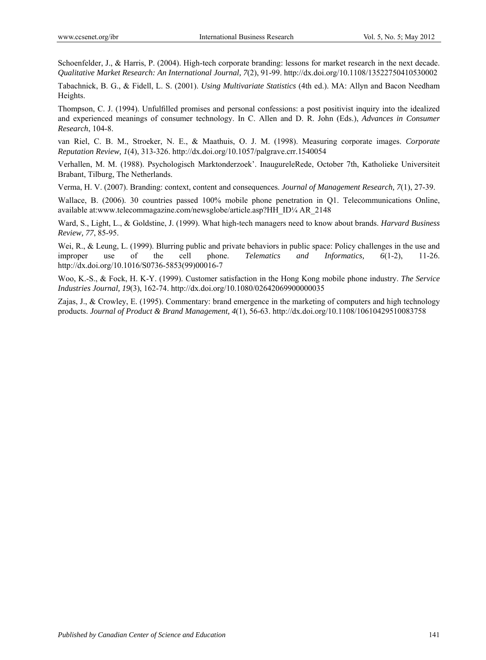Schoenfelder, J., & Harris, P. (2004). High-tech corporate branding: lessons for market research in the next decade. *Qualitative Market Research: An International Journal, 7*(2), 91-99. http://dx.doi.org/10.1108/13522750410530002

Tabachnick, B. G., & Fidell, L. S. (2001). *Using Multivariate Statistics* (4th ed.). MA: Allyn and Bacon Needham Heights.

Thompson, C. J. (1994). Unfulfilled promises and personal confessions: a post positivist inquiry into the idealized and experienced meanings of consumer technology. In C. Allen and D. R. John (Eds.), *Advances in Consumer Research*, 104-8.

van Riel, C. B. M., Stroeker, N. E., & Maathuis, O. J. M. (1998). Measuring corporate images. *Corporate Reputation Review, 1*(4), 313-326. http://dx.doi.org/10.1057/palgrave.crr.1540054

Verhallen, M. M. (1988). Psychologisch Marktonderzoek'. InaugureleRede, October 7th, Katholieke Universiteit Brabant, Tilburg, The Netherlands.

Verma, H. V. (2007). Branding: context, content and consequences. *Journal of Management Research, 7*(1), 27-39.

Wallace, B. (2006). 30 countries passed 100% mobile phone penetration in Q1. Telecommunications Online, available at:www.telecommagazine.com/newsglobe/article.asp?HH\_ID¼ AR\_2148

Ward, S., Light, L., & Goldstine, J. (1999). What high-tech managers need to know about brands. *Harvard Business Review, 77*, 85-95.

Wei, R., & Leung, L. (1999). Blurring public and private behaviors in public space: Policy challenges in the use and improper use of the cell phone. *Telematics and Informatics, 6*(1-2), 11-26. http://dx.doi.org/10.1016/S0736-5853(99)00016-7

Woo, K.-S., & Fock, H. K-Y. (1999). Customer satisfaction in the Hong Kong mobile phone industry. *The Service Industries Journal, 19*(3), 162-74. http://dx.doi.org/10.1080/02642069900000035

Zajas, J., & Crowley, E. (1995). Commentary: brand emergence in the marketing of computers and high technology products. *Journal of Product & Brand Management, 4*(1), 56-63. http://dx.doi.org/10.1108/10610429510083758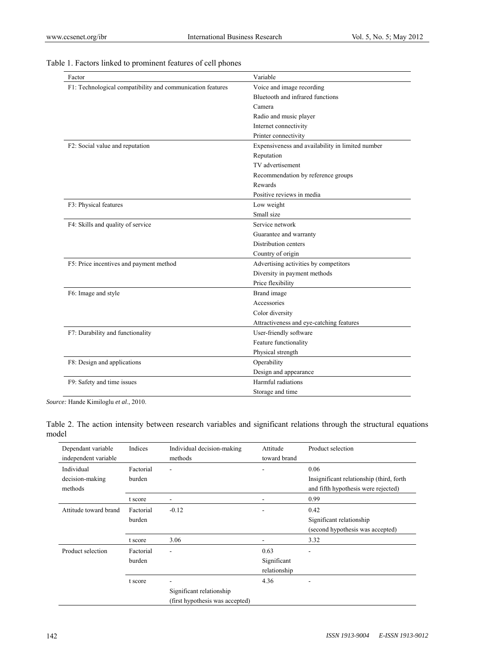| Factor                                                     | Variable                                         |  |  |
|------------------------------------------------------------|--------------------------------------------------|--|--|
| F1: Technological compatibility and communication features | Voice and image recording                        |  |  |
|                                                            | Bluetooth and infrared functions                 |  |  |
|                                                            | Camera                                           |  |  |
|                                                            | Radio and music player                           |  |  |
|                                                            | Internet connectivity                            |  |  |
|                                                            | Printer connectivity                             |  |  |
| F2: Social value and reputation                            | Expensiveness and availability in limited number |  |  |
|                                                            | Reputation                                       |  |  |
|                                                            | TV advertisement                                 |  |  |
|                                                            | Recommendation by reference groups               |  |  |
|                                                            | Rewards                                          |  |  |
|                                                            | Positive reviews in media                        |  |  |
| F3: Physical features                                      | Low weight                                       |  |  |
|                                                            | Small size                                       |  |  |
| F4: Skills and quality of service                          | Service network                                  |  |  |
|                                                            | Guarantee and warranty                           |  |  |
|                                                            | Distribution centers                             |  |  |
|                                                            | Country of origin                                |  |  |
| F5: Price incentives and payment method                    | Advertising activities by competitors            |  |  |
|                                                            | Diversity in payment methods                     |  |  |
|                                                            | Price flexibility                                |  |  |
| F6: Image and style                                        | Brand image                                      |  |  |
|                                                            | Accessories                                      |  |  |
|                                                            | Color diversity                                  |  |  |
|                                                            | Attractiveness and eye-catching features         |  |  |
| F7: Durability and functionality                           | User-friendly software                           |  |  |
|                                                            | Feature functionality                            |  |  |
|                                                            | Physical strength                                |  |  |
| F8: Design and applications                                | Operability                                      |  |  |
|                                                            | Design and appearance                            |  |  |
| F9: Safety and time issues                                 | Harmful radiations                               |  |  |
|                                                            | Storage and time                                 |  |  |

# Table 1. Factors linked to prominent features of cell phones

*Source:* Hande Kimiloglu *et al*., 2010.

Table 2. The action intensity between research variables and significant relations through the structural equations model

| Dependant variable<br>independent variable | Indices             | Individual decision-making<br>methods                       | Attitude<br>toward brand | Product selection                                                               |
|--------------------------------------------|---------------------|-------------------------------------------------------------|--------------------------|---------------------------------------------------------------------------------|
| Individual                                 | Factorial           | ٠                                                           |                          | 0.06                                                                            |
| decision-making<br>methods                 | burden              |                                                             |                          | Insignificant relationship (third, forth<br>and fifth hypothesis were rejected) |
|                                            | t score             |                                                             |                          | 0.99                                                                            |
| Attitude toward brand                      | Factorial<br>burden | $-0.12$                                                     |                          | 0.42<br>Significant relationship                                                |
|                                            |                     |                                                             |                          | (second hypothesis was accepted)                                                |
|                                            | t score             | 3.06                                                        |                          | 3.32                                                                            |
| Product selection                          | Factorial<br>burden | ۰                                                           | 0.63<br>Significant      | ۰                                                                               |
|                                            |                     |                                                             | relationship             |                                                                                 |
|                                            | t score             |                                                             | 4.36                     |                                                                                 |
|                                            |                     | Significant relationship<br>(first hypothesis was accepted) |                          |                                                                                 |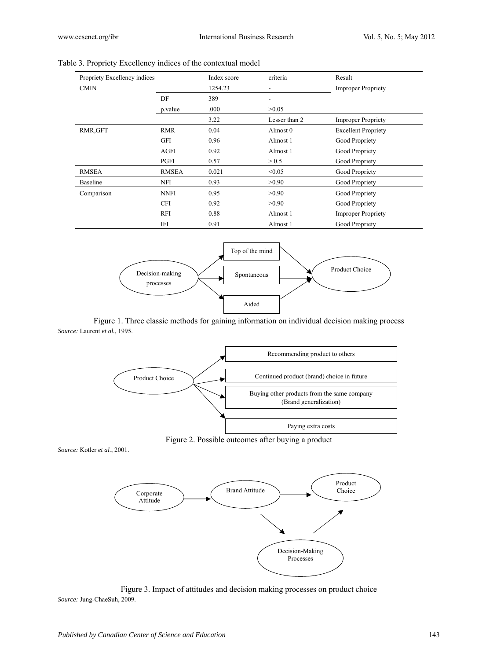| Propriety Excellency indices |              | Index score | criteria      | Result                     |
|------------------------------|--------------|-------------|---------------|----------------------------|
| <b>CMIN</b>                  |              | 1254.23     |               | <b>Improper Propriety</b>  |
|                              | DF           | 389         |               |                            |
|                              | p.value      | .000        | >0.05         |                            |
|                              |              | 3.22        | Lesser than 2 | <b>Improper Propriety</b>  |
| RMR, GFT                     | <b>RMR</b>   | 0.04        | Almost 0      | <b>Excellent Propriety</b> |
|                              | <b>GFI</b>   | 0.96        | Almost 1      | Good Propriety             |
|                              | AGFI         | 0.92        | Almost 1      | Good Propriety             |
|                              | PGFI         | 0.57        | > 0.5         | Good Propriety             |
| <b>RMSEA</b>                 | <b>RMSEA</b> | 0.021       | < 0.05        | Good Propriety             |
| Baseline                     | <b>NFI</b>   | 0.93        | >0.90         | Good Propriety             |
| Comparison                   | <b>NNFI</b>  | 0.95        | >0.90         | Good Propriety             |
|                              | <b>CFI</b>   | 0.92        | >0.90         | Good Propriety             |
|                              | <b>RFI</b>   | 0.88        | Almost 1      | <b>Improper Propriety</b>  |
|                              | IFI          | 0.91        | Almost 1      | Good Propriety             |

Table 3. Propriety Excellency indices of the contextual model



Figure 1. Three classic methods for gaining information on individual decision making process *Source:* Laurent *et al.*, 1995.



Figure 2. Possible outcomes after buying a product

*Source:* Kotler *et al.*, 2001.



Figure 3. Impact of attitudes and decision making processes on product choice *Source:* Jung-ChaeSuh, 2009.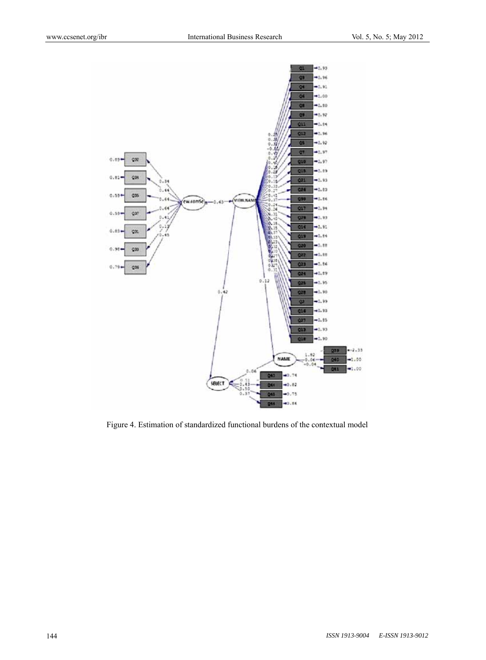

Figure 4. Estimation of standardized functional burdens of the contextual model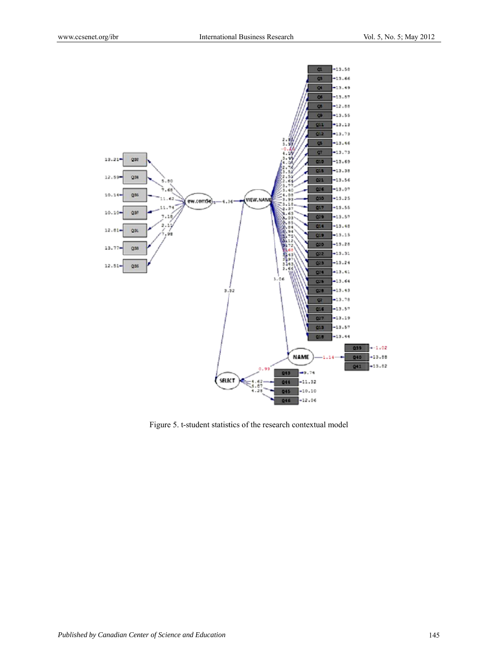

Figure 5. t-student statistics of the research contextual model